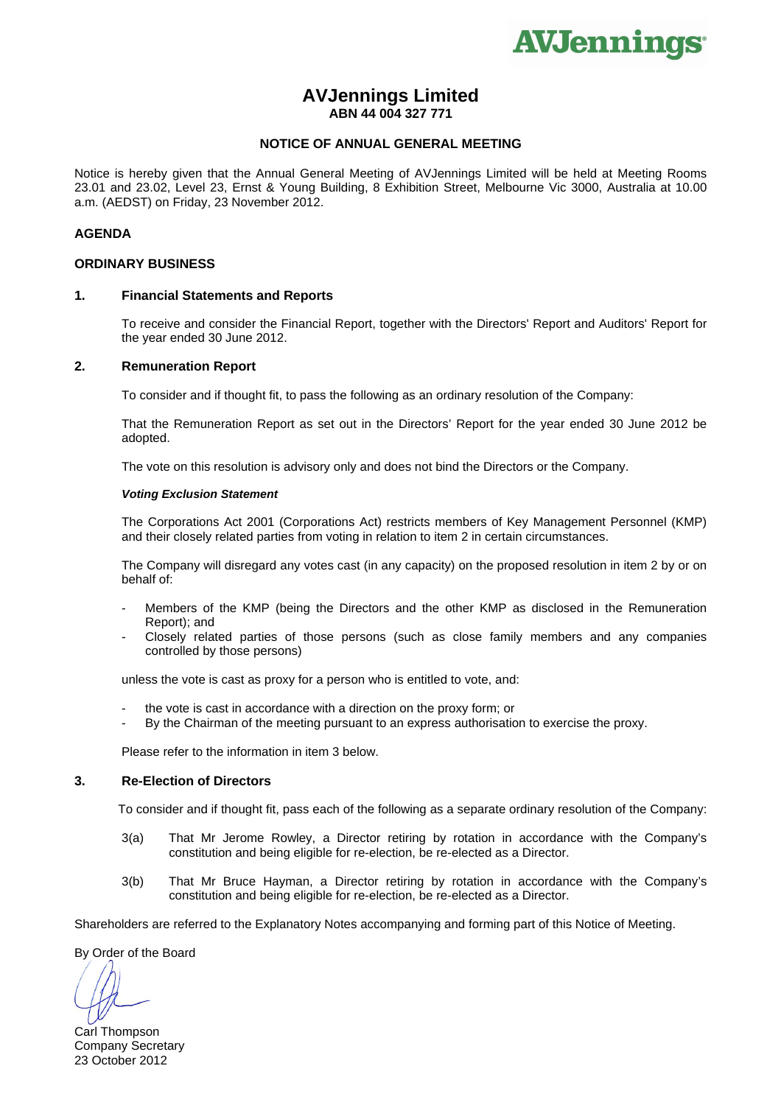

# **AVJennings Limited ABN 44 004 327 771**

#### **NOTICE OF ANNUAL GENERAL MEETING**

Notice is hereby given that the Annual General Meeting of AVJennings Limited will be held at Meeting Rooms 23.01 and 23.02, Level 23, Ernst & Young Building, 8 Exhibition Street, Melbourne Vic 3000, Australia at 10.00 a.m. (AEDST) on Friday, 23 November 2012.

#### **AGENDA**

#### **ORDINARY BUSINESS**

#### **1. Financial Statements and Reports**

To receive and consider the Financial Report, together with the Directors' Report and Auditors' Report for the year ended 30 June 2012.

## **2. Remuneration Report**

To consider and if thought fit, to pass the following as an ordinary resolution of the Company:

 That the Remuneration Report as set out in the Directors' Report for the year ended 30 June 2012 be adopted.

The vote on this resolution is advisory only and does not bind the Directors or the Company.

#### *Voting Exclusion Statement*

The Corporations Act 2001 (Corporations Act) restricts members of Key Management Personnel (KMP) and their closely related parties from voting in relation to item 2 in certain circumstances.

 The Company will disregard any votes cast (in any capacity) on the proposed resolution in item 2 by or on behalf of:

- Members of the KMP (being the Directors and the other KMP as disclosed in the Remuneration Report); and
- Closely related parties of those persons (such as close family members and any companies controlled by those persons)

unless the vote is cast as proxy for a person who is entitled to vote, and:

- the vote is cast in accordance with a direction on the proxy form; or
- By the Chairman of the meeting pursuant to an express authorisation to exercise the proxy.

Please refer to the information in item 3 below.

## **3. Re-Election of Directors**

To consider and if thought fit, pass each of the following as a separate ordinary resolution of the Company:

- 3(a) That Mr Jerome Rowley, a Director retiring by rotation in accordance with the Company's constitution and being eligible for re-election, be re-elected as a Director.
- 3(b) That Mr Bruce Hayman, a Director retiring by rotation in accordance with the Company's constitution and being eligible for re-election, be re-elected as a Director.

Shareholders are referred to the Explanatory Notes accompanying and forming part of this Notice of Meeting.

By Order of the Board

Carl Thompson Company Secretary 23 October 2012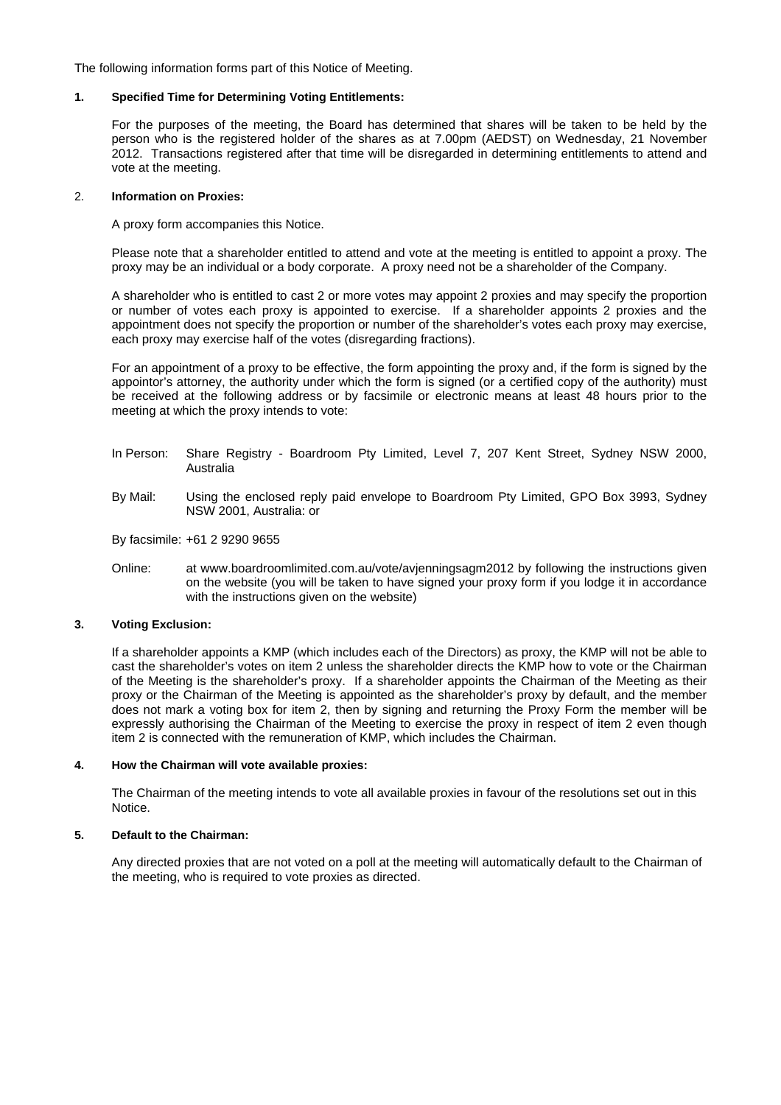The following information forms part of this Notice of Meeting.

#### **1. Specified Time for Determining Voting Entitlements:**

For the purposes of the meeting, the Board has determined that shares will be taken to be held by the person who is the registered holder of the shares as at 7.00pm (AEDST) on Wednesday, 21 November 2012. Transactions registered after that time will be disregarded in determining entitlements to attend and vote at the meeting.

#### 2. **Information on Proxies:**

A proxy form accompanies this Notice.

Please note that a shareholder entitled to attend and vote at the meeting is entitled to appoint a proxy. The proxy may be an individual or a body corporate. A proxy need not be a shareholder of the Company.

A shareholder who is entitled to cast 2 or more votes may appoint 2 proxies and may specify the proportion or number of votes each proxy is appointed to exercise. If a shareholder appoints 2 proxies and the appointment does not specify the proportion or number of the shareholder's votes each proxy may exercise, each proxy may exercise half of the votes (disregarding fractions).

For an appointment of a proxy to be effective, the form appointing the proxy and, if the form is signed by the appointor's attorney, the authority under which the form is signed (or a certified copy of the authority) must be received at the following address or by facsimile or electronic means at least 48 hours prior to the meeting at which the proxy intends to vote:

- In Person: Share Registry Boardroom Pty Limited, Level 7, 207 Kent Street, Sydney NSW 2000, Australia
- By Mail: Using the enclosed reply paid envelope to Boardroom Pty Limited, GPO Box 3993, Sydney NSW 2001, Australia: or

By facsimile: +61 2 9290 9655

Online: at www.boardroomlimited.com.au/vote/avjenningsagm2012 by following the instructions given on the website (you will be taken to have signed your proxy form if you lodge it in accordance with the instructions given on the website)

## **3. Voting Exclusion:**

If a shareholder appoints a KMP (which includes each of the Directors) as proxy, the KMP will not be able to cast the shareholder's votes on item 2 unless the shareholder directs the KMP how to vote or the Chairman of the Meeting is the shareholder's proxy. If a shareholder appoints the Chairman of the Meeting as their proxy or the Chairman of the Meeting is appointed as the shareholder's proxy by default, and the member does not mark a voting box for item 2, then by signing and returning the Proxy Form the member will be expressly authorising the Chairman of the Meeting to exercise the proxy in respect of item 2 even though item 2 is connected with the remuneration of KMP, which includes the Chairman.

#### **4. How the Chairman will vote available proxies:**

The Chairman of the meeting intends to vote all available proxies in favour of the resolutions set out in this Notice.

#### **5. Default to the Chairman:**

Any directed proxies that are not voted on a poll at the meeting will automatically default to the Chairman of the meeting, who is required to vote proxies as directed.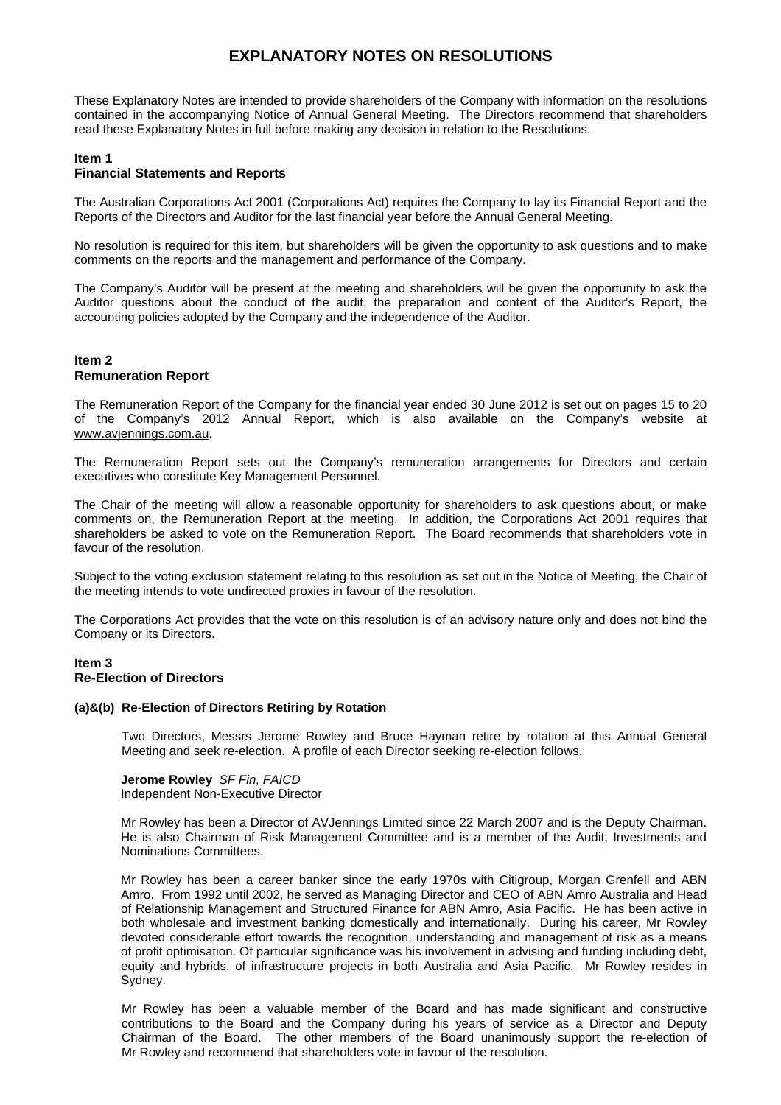# **EXPLANATORY NOTES ON RESOLUTIONS**

These Explanatory Notes are intended to provide shareholders of the Company with information on the resolutions contained in the accompanying Notice of Annual General Meeting. The Directors recommend that shareholders read these Explanatory Notes in full before making any decision in relation to the Resolutions.

## **Item 1**

## **Financial Statements and Reports**

The Australian Corporations Act 2001 (Corporations Act) requires the Company to lay its Financial Report and the Reports of the Directors and Auditor for the last financial year before the Annual General Meeting.

No resolution is required for this item, but shareholders will be given the opportunity to ask questions and to make comments on the reports and the management and performance of the Company.

The Company's Auditor will be present at the meeting and shareholders will be given the opportunity to ask the Auditor questions about the conduct of the audit, the preparation and content of the Auditor's Report, the accounting policies adopted by the Company and the independence of the Auditor.

#### **Item 2 Remuneration Report**

The Remuneration Report of the Company for the financial year ended 30 June 2012 is set out on pages 15 to 20 of the Company's 2012 Annual Report, which is also available on the Company's website at www.avjennings.com.au.

The Remuneration Report sets out the Company's remuneration arrangements for Directors and certain executives who constitute Key Management Personnel.

The Chair of the meeting will allow a reasonable opportunity for shareholders to ask questions about, or make comments on, the Remuneration Report at the meeting. In addition, the Corporations Act 2001 requires that shareholders be asked to vote on the Remuneration Report. The Board recommends that shareholders vote in favour of the resolution.

Subject to the voting exclusion statement relating to this resolution as set out in the Notice of Meeting, the Chair of the meeting intends to vote undirected proxies in favour of the resolution.

The Corporations Act provides that the vote on this resolution is of an advisory nature only and does not bind the Company or its Directors.

#### **Item 3 Re-Election of Directors**

#### **(a)&(b) Re-Election of Directors Retiring by Rotation**

Two Directors, Messrs Jerome Rowley and Bruce Hayman retire by rotation at this Annual General Meeting and seek re-election. A profile of each Director seeking re-election follows.

**Jerome Rowley** *SF Fin, FAICD*  Independent Non-Executive Director

Mr Rowley has been a Director of AVJennings Limited since 22 March 2007 and is the Deputy Chairman. He is also Chairman of Risk Management Committee and is a member of the Audit, Investments and Nominations Committees.

Mr Rowley has been a career banker since the early 1970s with Citigroup, Morgan Grenfell and ABN Amro. From 1992 until 2002, he served as Managing Director and CEO of ABN Amro Australia and Head of Relationship Management and Structured Finance for ABN Amro, Asia Pacific. He has been active in both wholesale and investment banking domestically and internationally. During his career, Mr Rowley devoted considerable effort towards the recognition, understanding and management of risk as a means of profit optimisation. Of particular significance was his involvement in advising and funding including debt, equity and hybrids, of infrastructure projects in both Australia and Asia Pacific. Mr Rowley resides in Sydney.

Mr Rowley has been a valuable member of the Board and has made significant and constructive contributions to the Board and the Company during his years of service as a Director and Deputy Chairman of the Board. The other members of the Board unanimously support the re-election of Mr Rowley and recommend that shareholders vote in favour of the resolution.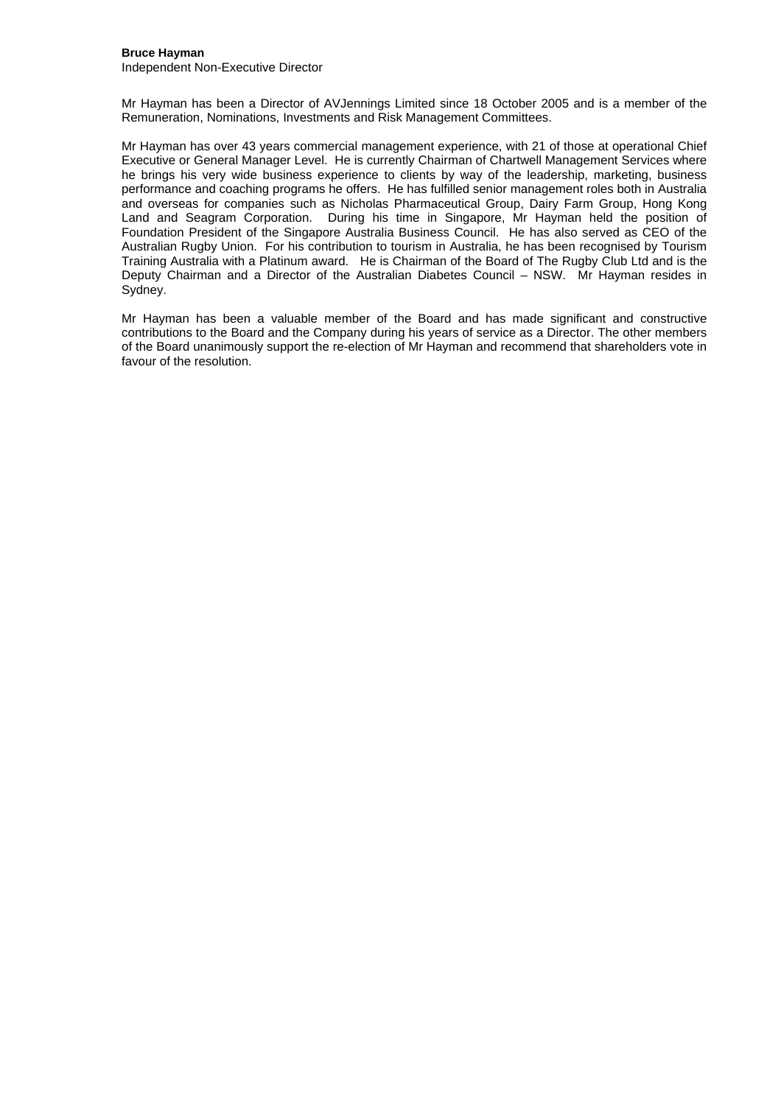## **Bruce Hayman**

Independent Non-Executive Director

Mr Hayman has been a Director of AVJennings Limited since 18 October 2005 and is a member of the Remuneration, Nominations, Investments and Risk Management Committees.

Mr Hayman has over 43 years commercial management experience, with 21 of those at operational Chief Executive or General Manager Level. He is currently Chairman of Chartwell Management Services where he brings his very wide business experience to clients by way of the leadership, marketing, business performance and coaching programs he offers. He has fulfilled senior management roles both in Australia and overseas for companies such as Nicholas Pharmaceutical Group, Dairy Farm Group, Hong Kong Land and Seagram Corporation. During his time in Singapore, Mr Hayman held the position of Foundation President of the Singapore Australia Business Council. He has also served as CEO of the Australian Rugby Union. For his contribution to tourism in Australia, he has been recognised by Tourism Training Australia with a Platinum award. He is Chairman of the Board of The Rugby Club Ltd and is the Deputy Chairman and a Director of the Australian Diabetes Council – NSW. Mr Hayman resides in Sydney.

Mr Hayman has been a valuable member of the Board and has made significant and constructive contributions to the Board and the Company during his years of service as a Director. The other members of the Board unanimously support the re-election of Mr Hayman and recommend that shareholders vote in favour of the resolution.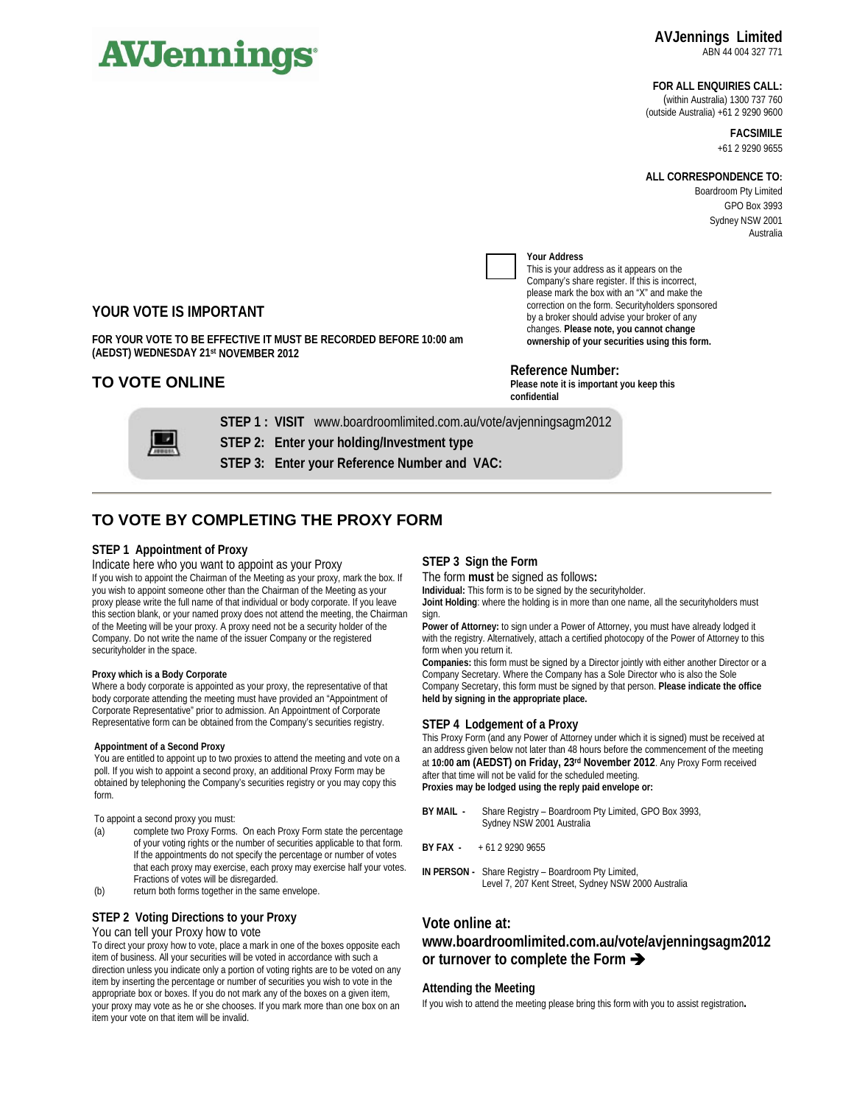# **AVJennings**

#### **FOR ALL ENQUIRIES CALL:**

(within Australia) 1300 737 760 (outside Australia) +61 2 9290 9600

> **FACSIMILE**  +61 2 9290 9655

#### **ALL CORRESPONDENCE TO:**

Boardroom Pty Limited GPO Box 3993 Sydney NSW 2001 Australia



# **Your Address**

This is your address as it appears on the Company's share register. If this is incorrect, please mark the box with an "X" and make the correction on the form. Securityholders sponsored by a broker should advise your broker of any changes. **Please note, you cannot change ownership of your securities using this form.** 

# **Reference Number:**

**Please note it is important you keep this confidential** 

**YOUR VOTE IS IMPORTANT** 

**FOR YOUR VOTE TO BE EFFECTIVE IT MUST BE RECORDED BEFORE 10:00 am (AEDST) WEDNESDAY 21st NOVEMBER 2012**

# **TO VOTE ONLINE**

**STEP 1 : VISIT** www.boardroomlimited.com.au/vote/avjenningsagm2012

**STEP 2: Enter your holding/Investment type** 

**STEP 3: Enter your Reference Number and VAC:** 

# **TO VOTE BY COMPLETING THE PROXY FORM**

#### **STEP 1 Appointment of Proxy**

Indicate here who you want to appoint as your Proxy If you wish to appoint the Chairman of the Meeting as your proxy, mark the box. If you wish to appoint someone other than the Chairman of the Meeting as your proxy please write the full name of that individual or body corporate. If you leave this section blank, or your named proxy does not attend the meeting, the Chairman of the Meeting will be your proxy. A proxy need not be a security holder of the Company. Do not write the name of the issuer Company or the registered securityholder in the space.

#### **Proxy which is a Body Corporate**

Where a body corporate is appointed as your proxy, the representative of that body corporate attending the meeting must have provided an "Appointment of Corporate Representative" prior to admission. An Appointment of Corporate Representative form can be obtained from the Company's securities registry.

#### **Appointment of a Second Proxy**

You are entitled to appoint up to two proxies to attend the meeting and vote on a poll. If you wish to appoint a second proxy, an additional Proxy Form may be obtained by telephoning the Company's securities registry or you may copy this form.

To appoint a second proxy you must:

- (a) complete two Proxy Forms. On each Proxy Form state the percentage of your voting rights or the number of securities applicable to that form. If the appointments do not specify the percentage or number of votes that each proxy may exercise, each proxy may exercise half your votes. Fractions of votes will be disregarded.
- (b) return both forms together in the same envelope.

# **STEP 2 Voting Directions to your Proxy**

# You can tell your Proxy how to vote

To direct your proxy how to vote, place a mark in one of the boxes opposite each item of business. All your securities will be voted in accordance with such a direction unless you indicate only a portion of voting rights are to be voted on any item by inserting the percentage or number of securities you wish to vote in the appropriate box or boxes. If you do not mark any of the boxes on a given item, your proxy may vote as he or she chooses. If you mark more than one box on an item your vote on that item will be invalid.

#### **STEP 3 Sign the Form**

The form **must** be signed as follows**:**

**Individual:** This form is to be signed by the securityholder.

**Joint Holding**: where the holding is in more than one name, all the securityholders must sign.

Power of Attorney: to sign under a Power of Attorney, you must have already lodged it with the registry. Alternatively, attach a certified photocopy of the Power of Attorney to this form when you return it.

**Companies:** this form must be signed by a Director jointly with either another Director or a Company Secretary. Where the Company has a Sole Director who is also the Sole Company Secretary, this form must be signed by that person. **Please indicate the office held by signing in the appropriate place.**

#### **STEP 4 Lodgement of a Proxy**

This Proxy Form (and any Power of Attorney under which it is signed) must be received at an address given below not later than 48 hours before the commencement of the meeting at **10:00 am (AEDST) on Friday, 23rd November 2012**. Any Proxy Form received after that time will not be valid for the scheduled meeting. **Proxies may be lodged using the reply paid envelope or:** 

- **BY MAIL** Share Registry Boardroom Pty Limited, GPO Box 3993, Sydney NSW 2001 Australia
- **BY FAX** + 61 2 9290 9655
- **IN PERSON** Share Registry Boardroom Pty Limited, Level 7, 207 Kent Street, Sydney NSW 2000 Australia

## **Vote online at:**

# **www.boardroomlimited.com.au/vote/avjenningsagm2012 or turnover to complete the Form**  $\rightarrow$

#### **Attending the Meeting**

If you wish to attend the meeting please bring this form with you to assist registration**.**